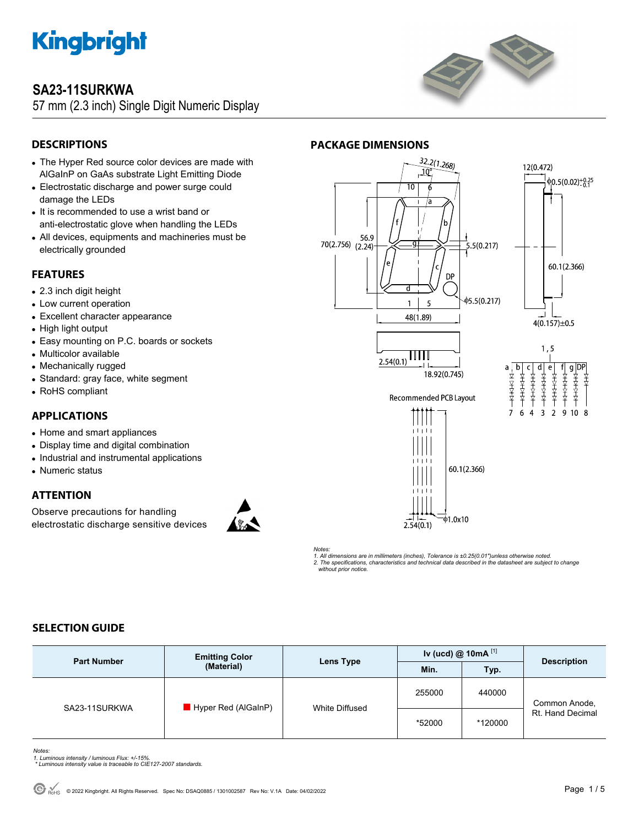

### **SA23-11SURKWA**

57 mm (2.3 inch) Single Digit Numeric Display



### **DESCRIPTIONS**

- The Hyper Red source color devices are made with AlGaInP on GaAs substrate Light Emitting Diode
- Electrostatic discharge and power surge could damage the LEDs
- It is recommended to use a wrist band or anti-electrostatic glove when handling the LEDs
- All devices, equipments and machineries must be electrically grounded

#### **FEATURES**

- 2.3 inch digit height
- Low current operation
- Excellent character appearance
- High light output
- Easy mounting on P.C. boards or sockets
- Multicolor available
- Mechanically rugged
- Standard: gray face, white segment
- RoHS compliant

#### **APPLICATIONS**

- Home and smart appliances
- Display time and digital combination
- Industrial and instrumental applications
- Numeric status

### **ATTENTION**

Observe precautions for handling electrostatic discharge sensitive devices







*Notes: 1. All dimensions are in millimeters (inches), Tolerance is ±0.25(0.01")unless otherwise noted. 2. The specifications, characteristics and technical data described in the datasheet are subject to change without prior notice.* 

#### **SELECTION GUIDE**

| <b>Part Number</b> | <b>Emitting Color</b><br>(Material) | Lens Type      | Iv (ucd) $@$ 10mA $^{[1]}$ |         | <b>Description</b>                |
|--------------------|-------------------------------------|----------------|----------------------------|---------|-----------------------------------|
|                    |                                     |                | Min.                       | Typ.    |                                   |
| SA23-11SURKWA      | Hyper Red (AlGaInP)                 | White Diffused | 255000                     | 440000  | Common Anode,<br>Rt. Hand Decimal |
|                    |                                     |                | *52000                     | *120000 |                                   |

*Notes:* 

- *1. Luminous intensity / luminous Flux: +/-15%. \* Luminous intensity value is traceable to CIE127-2007 standards.*
-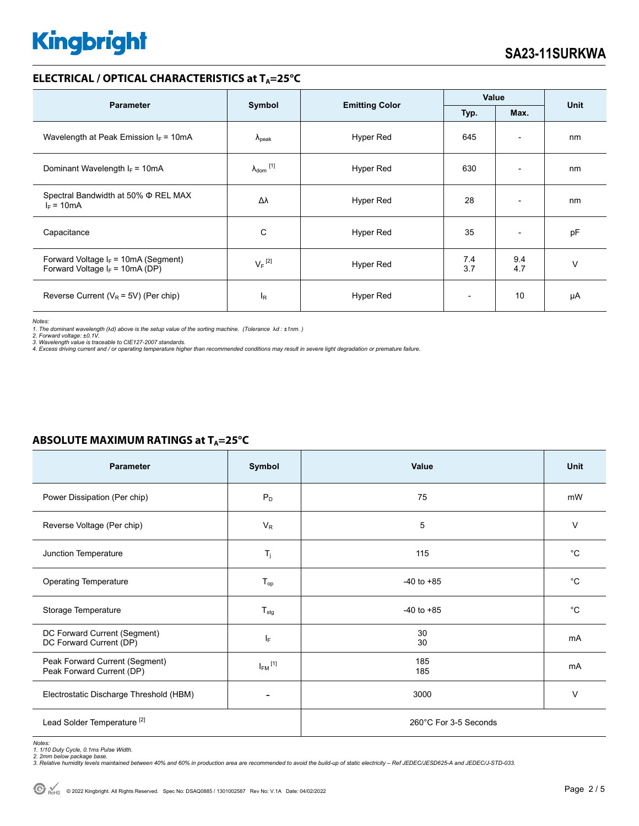#### **ELECTRICAL / OPTICAL CHARACTERISTICS at T<sub>A</sub>=25°C**

| <b>Parameter</b>                                                            |                                                 |           | Value                    |                          |        |
|-----------------------------------------------------------------------------|-------------------------------------------------|-----------|--------------------------|--------------------------|--------|
|                                                                             | Symbol<br><b>Emitting Color</b><br>Typ.<br>Max. |           | Unit                     |                          |        |
| Wavelength at Peak Emission $I_F = 10mA$                                    | $\lambda_{\rm peak}$                            | Hyper Red | 645                      | $\overline{\phantom{a}}$ | nm     |
| Dominant Wavelength $I_F = 10mA$                                            | $\lambda_{dom}$ [1]                             | Hyper Red | 630                      |                          | nm     |
| Spectral Bandwidth at 50% Φ REL MAX<br>$I_F = 10mA$                         | Δλ                                              | Hyper Red | 28                       | $\overline{\phantom{0}}$ | nm     |
| Capacitance                                                                 | C                                               | Hyper Red | 35                       | $\overline{\phantom{a}}$ | pF     |
| Forward Voltage $I_F$ = 10mA (Segment)<br>Forward Voltage $I_F$ = 10mA (DP) | $V_F$ <sup>[2]</sup>                            | Hyper Red | 7.4<br>3.7               | 9.4<br>4.7               | $\vee$ |
| Reverse Current ( $V_R$ = 5V) (Per chip)                                    | $I_R$                                           | Hyper Red | $\overline{\phantom{a}}$ | 10                       | μA     |

*Notes:* 

*1. The dominant wavelength (*λ*d) above is the setup value of the sorting machine. (Tolerance* λ*d : ±1nm. ) 2. Forward voltage: ±0.1V.* 

3. Wavelength value is traceable to CIE127-2007 standards.<br>4. Excess driving current and / or operating temperature higher than recommended conditions may result in severe light degradation or premature failure.

| <b>Parameter</b>                                            | Symbol                  | Value                 | <b>Unit</b> |  |
|-------------------------------------------------------------|-------------------------|-----------------------|-------------|--|
| Power Dissipation (Per chip)                                | $P_D$                   | 75                    | mW          |  |
| Reverse Voltage (Per chip)                                  | $V_R$                   | 5                     | $\vee$      |  |
| Junction Temperature                                        | $T_j$                   | 115                   | $^{\circ}C$ |  |
| <b>Operating Temperature</b>                                | $T_{op}$                | $-40$ to $+85$        | $^{\circ}C$ |  |
| Storage Temperature                                         | $T_{\text{stg}}$        | $-40$ to $+85$        | $^{\circ}C$ |  |
| DC Forward Current (Segment)<br>DC Forward Current (DP)     | IF.                     | 30<br>30              | mA          |  |
| Peak Forward Current (Segment)<br>Peak Forward Current (DP) | $I_{FM}$ <sup>[1]</sup> | 185<br>185            | mA          |  |
| Electrostatic Discharge Threshold (HBM)                     |                         | 3000                  | $\vee$      |  |
| Lead Solder Temperature <sup>[2]</sup>                      |                         | 260°C For 3-5 Seconds |             |  |

### **ABSOLUTE MAXIMUM RATINGS at T<sub>A</sub>=25°C**

*Notes: 1. 1/10 Duty Cycle, 0.1ms Pulse Width.* 

*2. 2mm below package base. 3. Relative humidity levels maintained between 40% and 60% in production area are recommended to avoid the build-up of static electricity – Ref JEDEC/JESD625-A and JEDEC/J-STD-033.*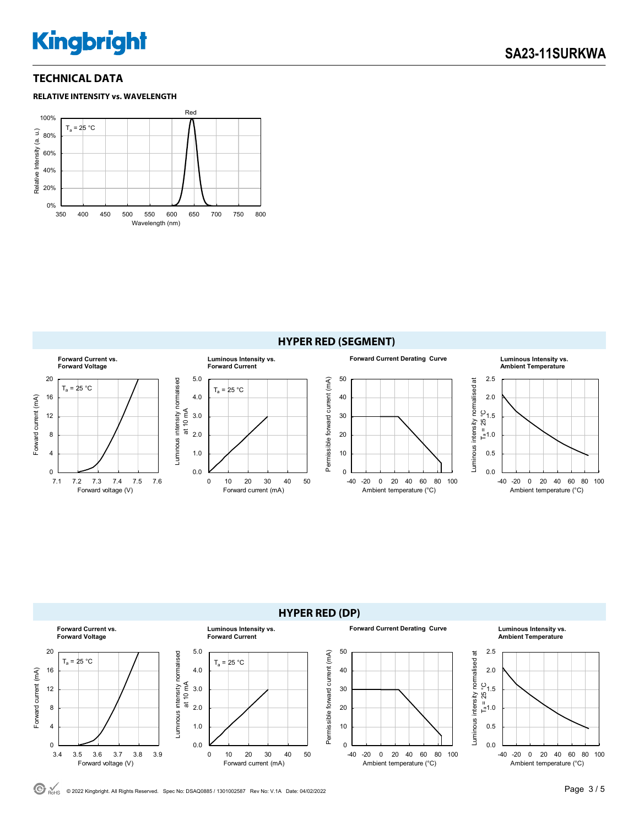#### **TECHNICAL DATA**







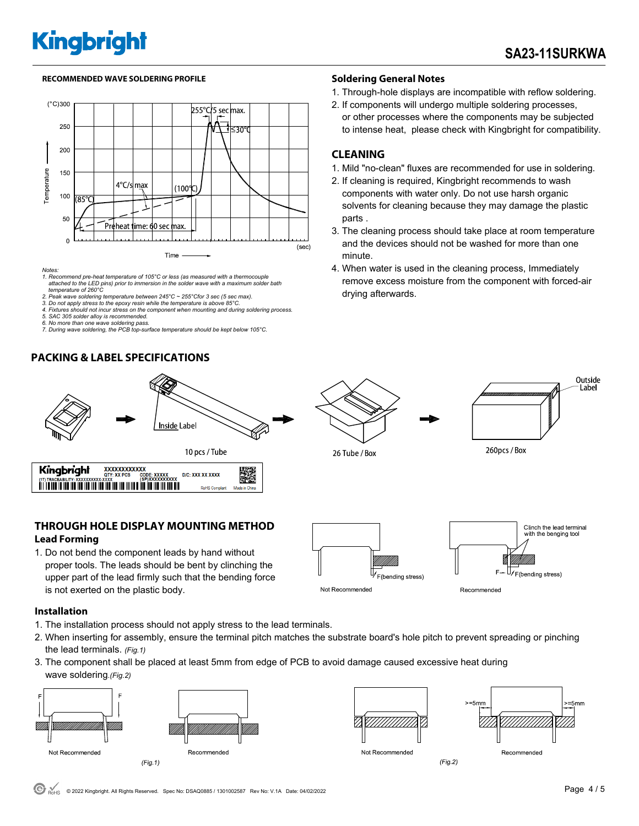#### **RECOMMENDED WAVE SOLDERING PROFILE Soldering General Notes**



*Notes:* 

*1. Recommend pre-heat temperature of 105°C or less (as measured with a thermocouple attached to the LED pins) prior to immersion in the solder wave with a maximum solder bath temperature of 260°C* 

*2. Peak wave soldering temperature between 245°C ~ 255°Cfor 3 sec (5 sec max). 3. Do not apply stress to the epoxy resin while the temperature is above 85°C.* 

*4. Fixtures should not incur stress on the component when mounting and during soldering process.* 

*5. SAC 305 solder alloy is recommended.* 

*6. No more than one wave soldering pass. 7. During wave soldering, the PCB top-surface temperature should be kept below 105°C.*

#### **PACKING & LABEL SPECIFICATIONS**



- 1. Through-hole displays are incompatible with reflow soldering.
- 2. If components will undergo multiple soldering processes, or other processes where the components may be subjected to intense heat, please check with Kingbright for compatibility.

#### **CLEANING**

- 1. Mild "no-clean" fluxes are recommended for use in soldering.
- 2. If cleaning is required, Kingbright recommends to wash components with water only. Do not use harsh organic solvents for cleaning because they may damage the plastic parts .
- 3. The cleaning process should take place at room temperature and the devices should not be washed for more than one minute.
- 4. When water is used in the cleaning process, Immediately remove excess moisture from the component with forced-air drying afterwards.



#### **Lead Forming**

1. Do not bend the component leads by hand without proper tools. The leads should be bent by clinching the upper part of the lead firmly such that the bending force is not exerted on the plastic body.



**Installation** 

- 1. The installation process should not apply stress to the lead terminals.
- 2. When inserting for assembly, ensure the terminal pitch matches the substrate board's hole pitch to prevent spreading or pinching the lead terminals. *(Fig.1)*
- 3. The component shall be placed at least 5mm from edge of PCB to avoid damage caused excessive heat during wave soldering.*(Fig.2)*





 $> 5mm$  $-5$ mm Recommended

Recommended

 $(Fig.2)$